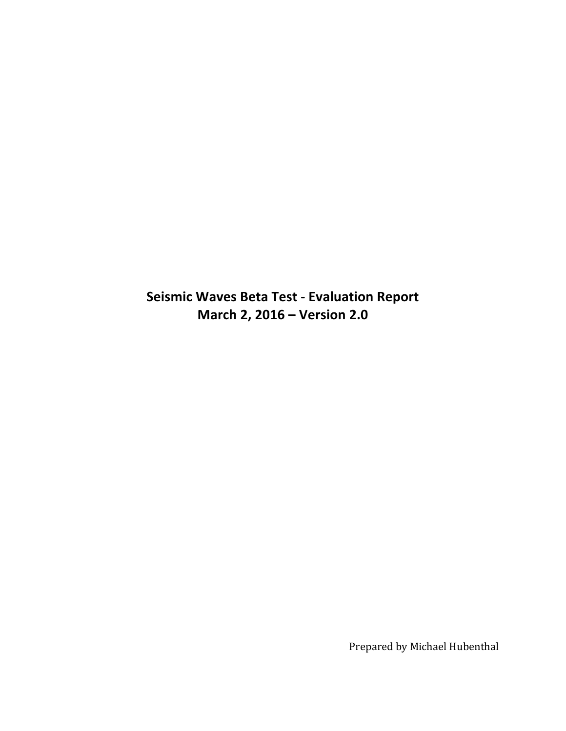**Seismic Waves Beta Test - Evaluation Report March 2, 2016 – Version 2.0** 

Prepared by Michael Hubenthal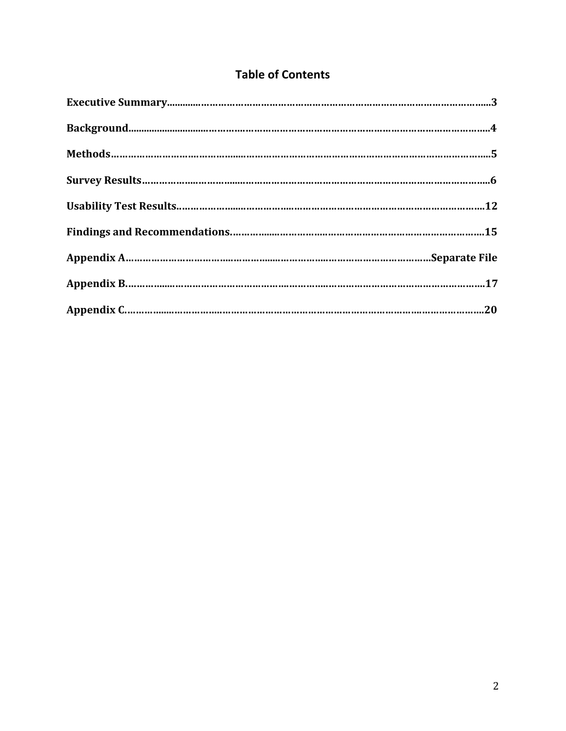# **Table of Contents**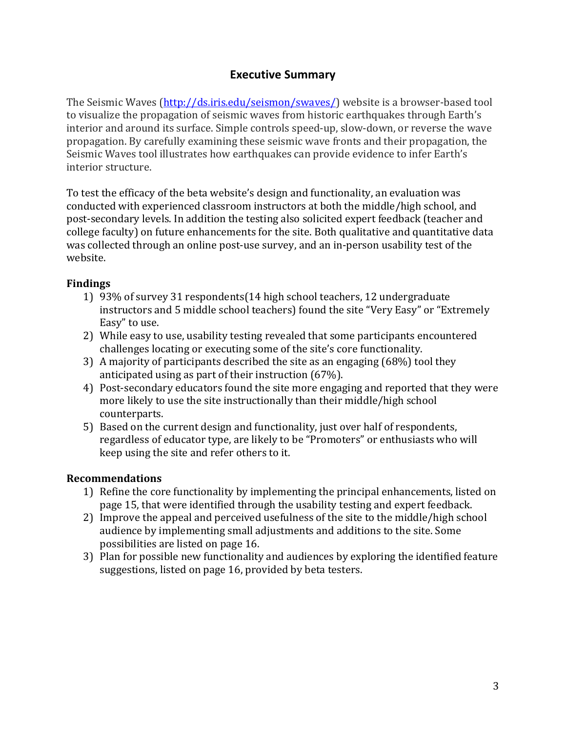## **Executive Summary**

The Seismic Waves (http://ds.iris.edu/seismon/swaves/) website is a browser-based tool to visualize the propagation of seismic waves from historic earthquakes through Earth's interior and around its surface. Simple controls speed-up, slow-down, or reverse the wave propagation. By carefully examining these seismic wave fronts and their propagation, the Seismic Waves tool illustrates how earthquakes can provide evidence to infer Earth's interior structure.

To test the efficacy of the beta website's design and functionality, an evaluation was conducted with experienced classroom instructors at both the middle/high school, and post-secondary levels. In addition the testing also solicited expert feedback (teacher and college faculty) on future enhancements for the site. Both qualitative and quantitative data was collected through an online post-use survey, and an in-person usability test of the website. 

### **Findings**

- 1) 93% of survey 31 respondents(14 high school teachers, 12 undergraduate instructors and 5 middle school teachers) found the site "Very Easy" or "Extremely Easy" to use.
- 2) While easy to use, usability testing revealed that some participants encountered challenges locating or executing some of the site's core functionality.
- 3) A majority of participants described the site as an engaging  $(68%)$  tool they anticipated using as part of their instruction  $(67%)$ .
- 4) Post-secondary educators found the site more engaging and reported that they were more likely to use the site instructionally than their middle/high school counterparts.
- 5) Based on the current design and functionality, just over half of respondents, regardless of educator type, are likely to be "Promoters" or enthusiasts who will keep using the site and refer others to it.

## **Recommendations**

- 1) Refine the core functionality by implementing the principal enhancements, listed on page 15, that were identified through the usability testing and expert feedback.
- 2) Improve the appeal and perceived usefulness of the site to the middle/high school audience by implementing small adjustments and additions to the site. Some possibilities are listed on page 16.
- 3) Plan for possible new functionality and audiences by exploring the identified feature suggestions, listed on page 16, provided by beta testers.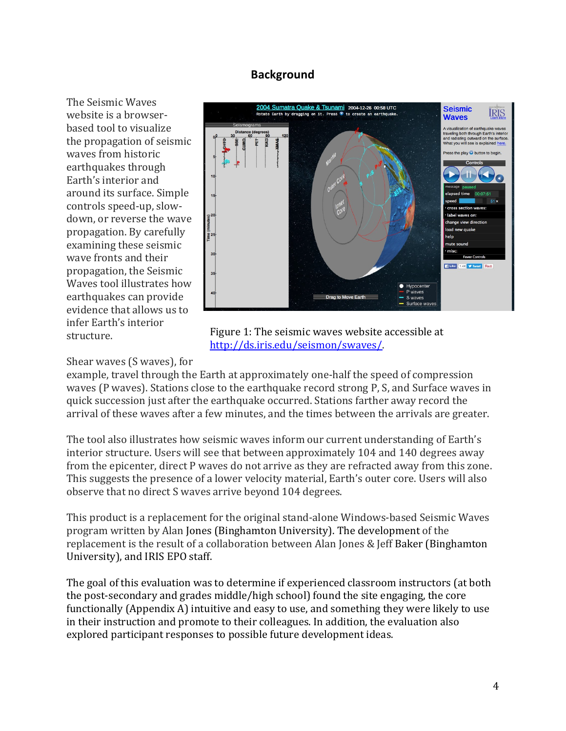### **Background**

The Seismic Waves website is a browserbased tool to visualize the propagation of seismic waves from historic earthquakes through Earth's interior and around its surface. Simple controls speed-up, slowdown, or reverse the wave propagation. By carefully examining these seismic wave fronts and their propagation, the Seismic Waves tool illustrates how earthquakes can provide evidence that allows us to infer Earth's interior structure.



Figure 1: The seismic waves website accessible at http://ds.iris.edu/seismon/swaves/.

Shear waves (S waves), for

example, travel through the Earth at approximately one-half the speed of compression waves (P waves). Stations close to the earthquake record strong P, S, and Surface waves in quick succession just after the earthquake occurred. Stations farther away record the arrival of these waves after a few minutes, and the times between the arrivals are greater.

The tool also illustrates how seismic waves inform our current understanding of Earth's interior structure. Users will see that between approximately 104 and 140 degrees away from the epicenter, direct P waves do not arrive as they are refracted away from this zone. This suggests the presence of a lower velocity material, Earth's outer core. Users will also observe that no direct S waves arrive beyond 104 degrees.

This product is a replacement for the original stand-alone Windows-based Seismic Waves program written by Alan Jones (Binghamton University). The development of the replacement is the result of a collaboration between Alan Jones & Jeff Baker (Binghamton University), and IRIS EPO staff.

The goal of this evaluation was to determine if experienced classroom instructors (at both the post-secondary and grades middle/high school) found the site engaging, the core functionally (Appendix A) intuitive and easy to use, and something they were likely to use in their instruction and promote to their colleagues. In addition, the evaluation also explored participant responses to possible future development ideas.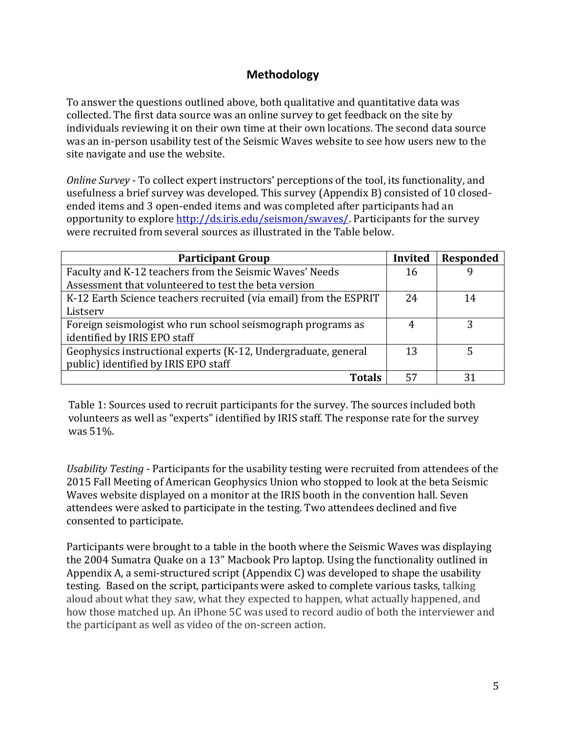## **Methodology**

To answer the questions outlined above, both qualitative and quantitative data was collected. The first data source was an online survey to get feedback on the site by individuals reviewing it on their own time at their own locations. The second data source was an in-person usability test of the Seismic Waves website to see how users new to the site navigate and use the website.

*Online Survey* - To collect expert instructors' perceptions of the tool, its functionality, and usefulness a brief survey was developed. This survey (Appendix B) consisted of 10 closedended items and 3 open-ended items and was completed after participants had an opportunity to explore http://ds.iris.edu/seismon/swaves/. Participants for the survey were recruited from several sources as illustrated in the Table below.

| <b>Participant Group</b>                                          | <b>Invited</b> | <b>Responded</b> |
|-------------------------------------------------------------------|----------------|------------------|
| Faculty and K-12 teachers from the Seismic Waves' Needs           | 16             |                  |
| Assessment that volunteered to test the beta version              |                |                  |
| K-12 Earth Science teachers recruited (via email) from the ESPRIT | 24             | 14               |
| Listserv                                                          |                |                  |
| Foreign seismologist who run school seismograph programs as       |                |                  |
| identified by IRIS EPO staff                                      |                |                  |
| Geophysics instructional experts (K-12, Undergraduate, general    | 13             |                  |
| public) identified by IRIS EPO staff                              |                |                  |
| Totals                                                            |                |                  |

Table 1: Sources used to recruit participants for the survey. The sources included both volunteers as well as "experts" identified by IRIS staff. The response rate for the survey was  $51\%$ .

Usability Testing - Participants for the usability testing were recruited from attendees of the 2015 Fall Meeting of American Geophysics Union who stopped to look at the beta Seismic Waves website displayed on a monitor at the IRIS booth in the convention hall. Seven attendees were asked to participate in the testing. Two attendees declined and five consented to participate.

Participants were brought to a table in the booth where the Seismic Waves was displaying the 2004 Sumatra Quake on a 13" Macbook Pro laptop. Using the functionality outlined in Appendix A, a semi-structured script  $(Appendix C)$  was developed to shape the usability testing. Based on the script, participants were asked to complete various tasks, talking aloud about what they saw, what they expected to happen, what actually happened, and how those matched up. An iPhone 5C was used to record audio of both the interviewer and the participant as well as video of the on-screen action.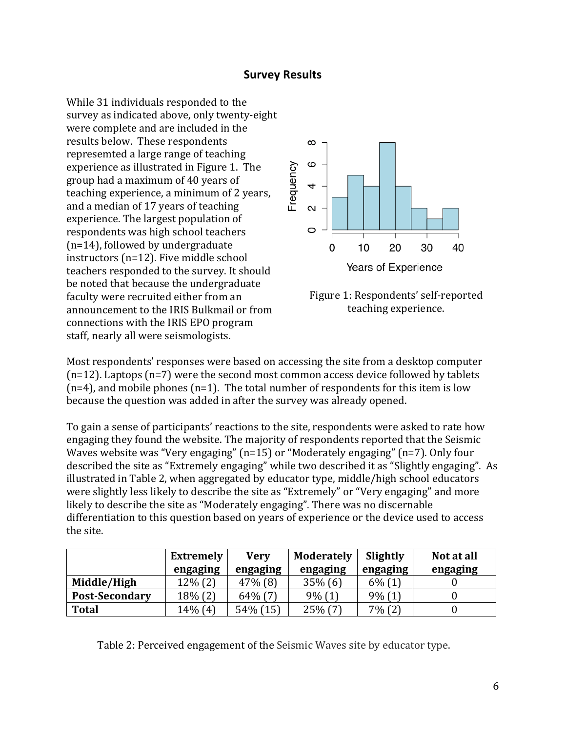### **Survey Results**

While 31 individuals responded to the survey as indicated above, only twenty-eight were complete and are included in the results below. These respondents represemted a large range of teaching experience as illustrated in Figure 1. The group had a maximum of 40 years of teaching experience, a minimum of 2 years, and a median of 17 years of teaching experience. The largest population of respondents was high school teachers  $(n=14)$ , followed by undergraduate instructors  $(n=12)$ . Five middle school teachers responded to the survey. It should be noted that because the undergraduate faculty were recruited either from an announcement to the IRIS Bulkmail or from connections with the IRIS EPO program staff, nearly all were seismologists.





Most respondents' responses were based on accessing the site from a desktop computer  $(n=12)$ . Laptops  $(n=7)$  were the second most common access device followed by tablets  $(n=4)$ , and mobile phones  $(n=1)$ . The total number of respondents for this item is low because the question was added in after the survey was already opened.

To gain a sense of participants' reactions to the site, respondents were asked to rate how engaging they found the website. The majority of respondents reported that the Seismic Waves website was "Very engaging"  $(n=15)$  or "Moderately engaging"  $(n=7)$ . Only four described the site as "Extremely engaging" while two described it as "Slightly engaging". As illustrated in Table 2, when aggregated by educator type, middle/high school educators were slightly less likely to describe the site as "Extremely" or "Very engaging" and more likely to describe the site as "Moderately engaging". There was no discernable differentiation to this question based on years of experience or the device used to access the site.

|                       | <b>Extremely</b> | <b>Very</b> | <b>Moderately</b> | Slightly  | Not at all |
|-----------------------|------------------|-------------|-------------------|-----------|------------|
|                       | engaging         | engaging    | engaging          | engaging  | engaging   |
| Middle/High           | $12\% (2)$       | $47\%$ (8)  | $35\%$ (6)        | $6\%$ (1) |            |
| <b>Post-Secondary</b> | $18\%$ (2)       | $64\%$ (7)  | $9\%$ (1)         | $9\%$ (1) |            |
| <b>Total</b>          | 14% (4)          | 54% (15)    | $25\%$ (7)        | $7\%$ (2) |            |

Table 2: Perceived engagement of the Seismic Waves site by educator type.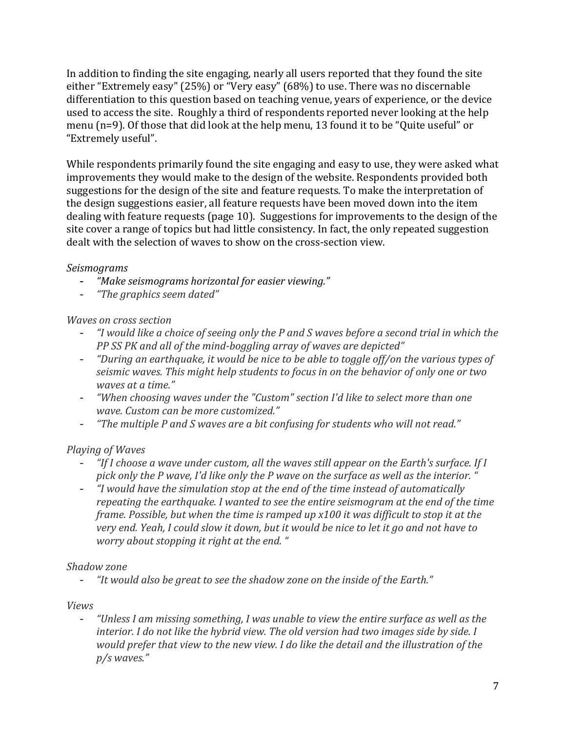In addition to finding the site engaging, nearly all users reported that they found the site either "Extremely easy" (25%) or "Very easy" (68%) to use. There was no discernable differentiation to this question based on teaching venue, years of experience, or the device used to access the site. Roughly a third of respondents reported never looking at the help menu ( $n=9$ ). Of those that did look at the help menu, 13 found it to be "Quite useful" or "Extremely useful". 

While respondents primarily found the site engaging and easy to use, they were asked what improvements they would make to the design of the website. Respondents provided both suggestions for the design of the site and feature requests. To make the interpretation of the design suggestions easier, all feature requests have been moved down into the item dealing with feature requests (page 10). Suggestions for improvements to the design of the site cover a range of topics but had little consistency. In fact, the only repeated suggestion dealt with the selection of waves to show on the cross-section view.

## *Seismograms*

- "Make seismograms horizontal for easier viewing."
- *"The graphics seem dated"*

## *Waves on cross section*

- "I would like a choice of seeing only the P and S waves before a second trial in which the *PP SS PK and all of the mind-boggling array of waves are depicted"*
- "During an earthquake, it would be nice to be able to toggle off/on the various types of seismic waves. This might help students to focus in on the behavior of only one or two *waves at a time."*
- *"When choosing waves under the "Custom" section I'd like to select more than one wave. Custom can be more customized."*
- "The multiple P and S waves are a bit confusing for students who will not read."

## *Playing of Waves*

- "If I choose a wave under custom, all the waves still appear on the Earth's surface. If I pick only the P wave, I'd like only the P wave on the surface as well as the interior. '
- "I would have the simulation stop at the end of the time instead of automatically *repeating the earthquake. I* wanted to see the entire seismogram at the end of the time *frame. Possible, but when the time is ramped up x100 it was difficult to stop it at the* very end. Yeah, I could slow it down, but it would be nice to let it go and not have to *worry* about stopping it right at the end. "

## *Shadow zone*

- "It would also be great to see the shadow zone on the inside of the Earth."

*Views* 

- *"Unless I am missing something, I was unable to view the entire surface as well as the interior.* I do not like the hybrid view. The old version had two images side by side. I *would prefer that view to the new view. I do like the detail and the illustration of the p/s waves."*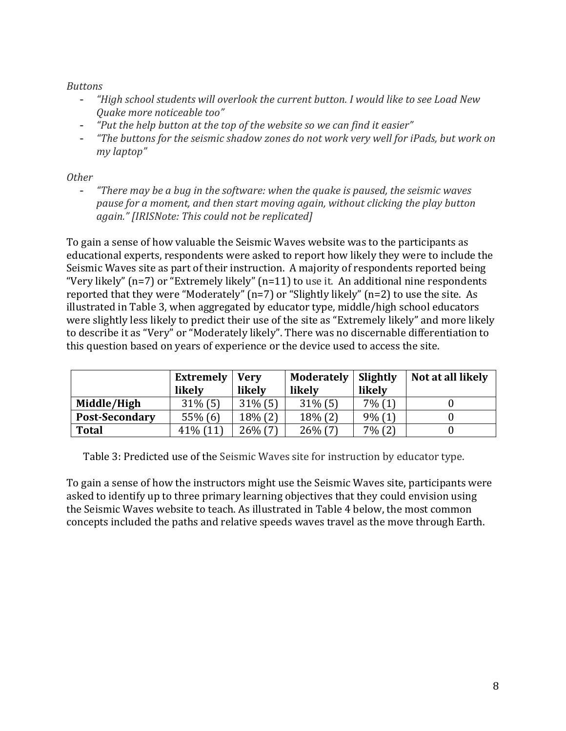### *Buttons*

- "High school students will overlook the current button. I would like to see Load New *Quake more noticeable too"*
- *"Put the help button at the top of the website so we can find it easier"*
- "The buttons for the seismic shadow zones do not work very well for *iPads*, but work on *my laptop"*

### *Other*

- *"There may be a bug in the software: when the quake is paused, the seismic waves pause for a moment, and then start moving again, without clicking the play button again." [IRISNote: This could not be replicated]*

To gain a sense of how valuable the Seismic Waves website was to the participants as educational experts, respondents were asked to report how likely they were to include the Seismic Waves site as part of their instruction. A majority of respondents reported being "Very likely"  $(n=7)$  or "Extremely likely"  $(n=11)$  to use it. An additional nine respondents reported that they were "Moderately"  $(n=7)$  or "Slightly likely"  $(n=2)$  to use the site. As illustrated in Table 3, when aggregated by educator type, middle/high school educators were slightly less likely to predict their use of the site as "Extremely likely" and more likely to describe it as "Very" or "Moderately likely". There was no discernable differentiation to this question based on years of experience or the device used to access the site.

|                       | <b>Extremely</b> | <b>Verv</b> | <b>Moderately</b> | Slightly  | Not at all likely |
|-----------------------|------------------|-------------|-------------------|-----------|-------------------|
|                       | likely           | likely      | likely            | likely    |                   |
| Middle/High           | $31\%$ (5)       | $31\%$ (5)  | $31\%$ (5)        | $7\%$ (1) |                   |
| <b>Post-Secondary</b> | $55\%$ (6)       | $18\%$ (2)  | 18% (2)           | $9\%$ (1) |                   |
| <b>Total</b>          | $41\%$ (11)      | $26\%$ (7)  | $26\%$ (7)        | $7\%$ (2) |                   |

Table 3: Predicted use of the Seismic Waves site for instruction by educator type.

To gain a sense of how the instructors might use the Seismic Waves site, participants were asked to identify up to three primary learning objectives that they could envision using the Seismic Waves website to teach. As illustrated in Table 4 below, the most common concepts included the paths and relative speeds waves travel as the move through Earth.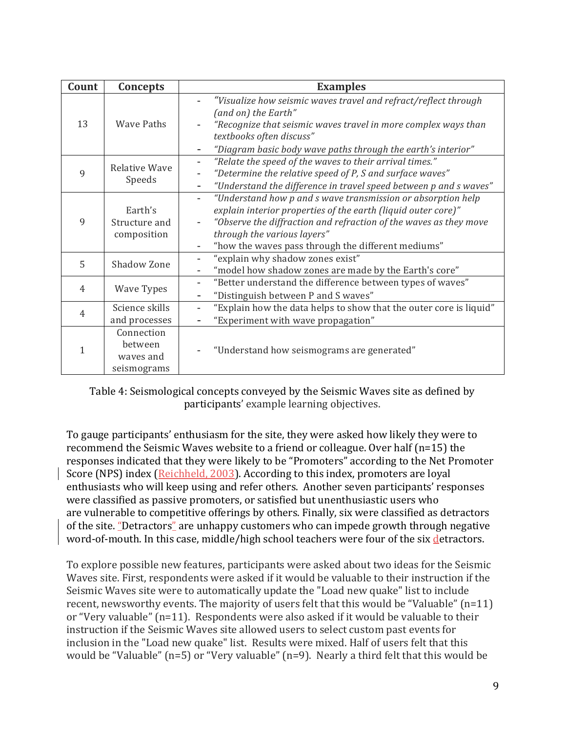| Count          | Concepts                                          | <b>Examples</b>                                                                                                                                                                                                                                                                         |  |  |
|----------------|---------------------------------------------------|-----------------------------------------------------------------------------------------------------------------------------------------------------------------------------------------------------------------------------------------------------------------------------------------|--|--|
| 13             | <b>Wave Paths</b>                                 | "Visualize how seismic waves travel and refract/reflect through<br>(and on) the Earth"<br>"Recognize that seismic waves travel in more complex ways than<br>textbooks often discuss"                                                                                                    |  |  |
|                |                                                   | "Diagram basic body wave paths through the earth's interior"                                                                                                                                                                                                                            |  |  |
| 9              | <b>Relative Wave</b><br>Speeds                    | "Relate the speed of the waves to their arrival times."<br>"Determine the relative speed of P, S and surface waves"<br>"Understand the difference in travel speed between p and s waves"                                                                                                |  |  |
| 9              | Earth's<br>Structure and<br>composition           | "Understand how p and s wave transmission or absorption help<br>explain interior properties of the earth (liquid outer core)"<br>"Observe the diffraction and refraction of the waves as they move<br>through the various layers"<br>"how the waves pass through the different mediums" |  |  |
| 5              | Shadow Zone                                       | "explain why shadow zones exist"<br>"model how shadow zones are made by the Earth's core"                                                                                                                                                                                               |  |  |
| $\overline{4}$ | Wave Types                                        | "Better understand the difference between types of waves"<br>$\overline{\phantom{a}}$<br>"Distinguish between P and S waves"                                                                                                                                                            |  |  |
| $\overline{4}$ | Science skills<br>and processes                   | "Explain how the data helps to show that the outer core is liquid"<br>"Experiment with wave propagation"                                                                                                                                                                                |  |  |
| 1              | Connection<br>between<br>waves and<br>seismograms | "Understand how seismograms are generated"                                                                                                                                                                                                                                              |  |  |

Table 4: Seismological concepts conveyed by the Seismic Waves site as defined by participants' example learning objectives.

To gauge participants' enthusiasm for the site, they were asked how likely they were to recommend the Seismic Waves website to a friend or colleague. Over half  $(n=15)$  the responses indicated that they were likely to be "Promoters" according to the Net Promoter Score (NPS) index ( $Reichheld, 2003$ ). According to this index, promoters are loyal enthusiasts who will keep using and refer others. Another seven participants' responses were classified as passive promoters, or satisfied but unenthusiastic users who are vulnerable to competitive offerings by others. Finally, six were classified as detractors of the site. "Detractors" are unhappy customers who can impede growth through negative word-of-mouth. In this case, middle/high school teachers were four of the six detractors.

To explore possible new features, participants were asked about two ideas for the Seismic Waves site. First, respondents were asked if it would be valuable to their instruction if the Seismic Waves site were to automatically update the "Load new quake" list to include recent, newsworthy events. The majority of users felt that this would be "Valuable"  $(n=11)$ or "Very valuable"  $(n=11)$ . Respondents were also asked if it would be valuable to their instruction if the Seismic Waves site allowed users to select custom past events for inclusion in the "Load new quake" list. Results were mixed. Half of users felt that this would be "Valuable"  $(n=5)$  or "Very valuable"  $(n=9)$ . Nearly a third felt that this would be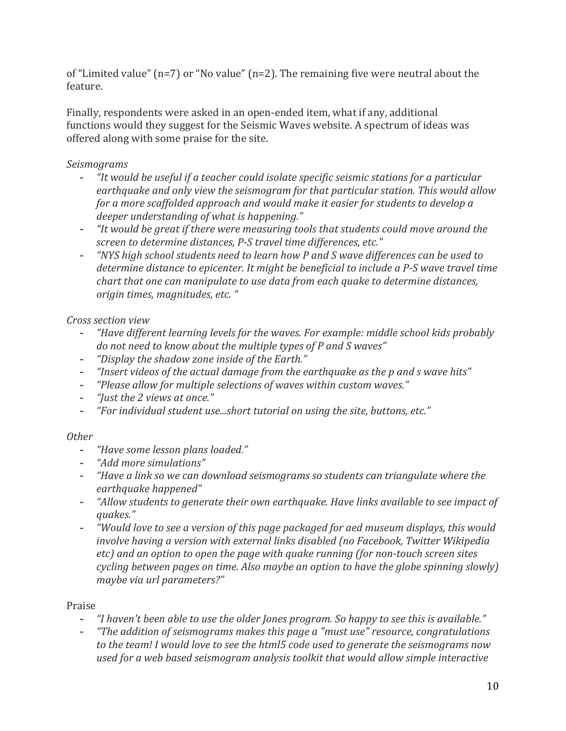of "Limited value"  $(n=7)$  or "No value"  $(n=2)$ . The remaining five were neutral about the feature.

Finally, respondents were asked in an open-ended item, what if any, additional functions would they suggest for the Seismic Waves website. A spectrum of ideas was offered along with some praise for the site.

## *Seismograms*

- "It would be useful if a teacher could isolate specific seismic stations for a particular earthquake and only view the seismogram for that particular station. This would allow *for a more scaffolded approach and would make it easier for students to develop a deeper understanding of what is happening."*
- "It would be great if there were measuring tools that students could move around the screen to determine distances, P-S travel time differences, etc."
- *"NYS* high school students need to learn how P and S wave differences can be used to *determine distance to epicenter. It might be beneficial to include a P-S wave travel time chart* that one can manipulate to use data from each quake to determine distances, *origin times, magnitudes, etc. "*

## *Cross section view*

- "Have different learning levels for the waves. For example: middle school kids probably do not need to know about the multiple types of P and S waves"
- "Display the shadow zone inside of the Earth."
- *"Insert videos of the actual damage from the earthquake as the p and s wave hits"*
- "Please allow for multiple selections of waves within custom waves."
- *"Just the 2 views at once."*
- "For individual student use...short tutorial on using the site, buttons, etc."

## *Other*

- "Have some lesson plans loaded."
- *"Add more simulations"*
- "Have a link so we can download seismograms so students can triangulate where the *earthquake happened"*
- "Allow students to generate their own earthquake. Have links available to see impact of *quakes."*
- *"Would love to see a version of this page packaged for aed museum displays, this would involve having a version with external links disabled (no Facebook, Twitter Wikipedia etc)* and an option to open the page with quake running (for non-touch screen sites *cycling between pages on time. Also maybe an option to have the globe spinning slowly maybe via url parameters?"*

## Praise

- "I haven't been able to use the older Jones program. So happy to see this is available."
- *"The addition of seismograms makes this page a "must use" resource, congratulations* to the team! I would love to see the html5 code used to generate the seismograms now used for a web based seismogram analysis toolkit that would allow simple interactive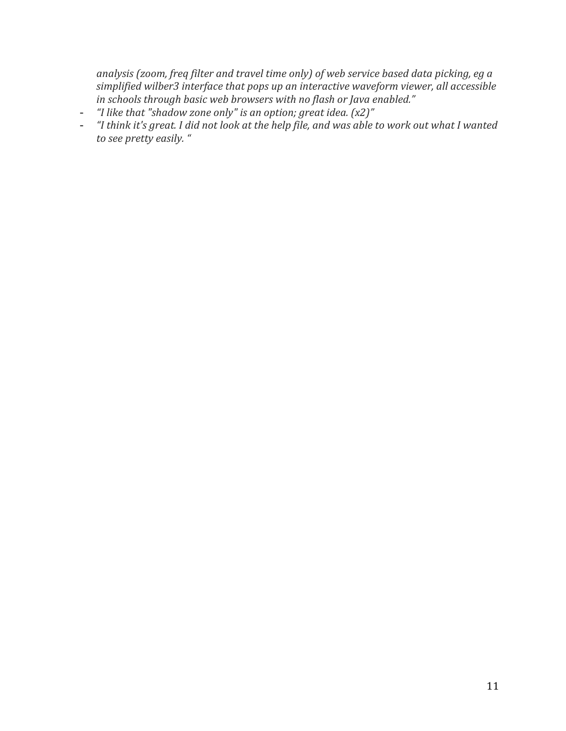analysis (zoom, freq filter and travel time only) of web service based data picking, eg a simplified wilber3 interface that pops up an interactive waveform viewer, all accessible in schools through basic web browsers with no flash or Java enabled."

- *"I like that "shadow zone only"* is an option; great idea. (x2)"
- "I think it's great. I did not look at the help file, and was able to work out what I wanted to see pretty easily. "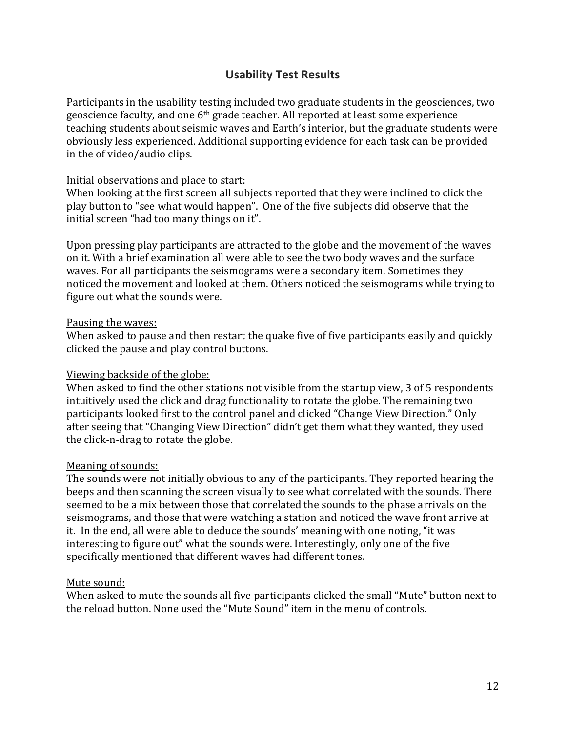## **Usability Test Results**

Participants in the usability testing included two graduate students in the geosciences, two geoscience faculty, and one 6<sup>th</sup> grade teacher. All reported at least some experience teaching students about seismic waves and Earth's interior, but the graduate students were obviously less experienced. Additional supporting evidence for each task can be provided in the of video/audio clips.

#### Initial observations and place to start:

When looking at the first screen all subjects reported that they were inclined to click the play button to "see what would happen". One of the five subjects did observe that the initial screen "had too many things on it".

Upon pressing play participants are attracted to the globe and the movement of the waves on it. With a brief examination all were able to see the two body waves and the surface waves. For all participants the seismograms were a secondary item. Sometimes they noticed the movement and looked at them. Others noticed the seismograms while trying to figure out what the sounds were.

#### Pausing the waves:

When asked to pause and then restart the quake five of five participants easily and quickly clicked the pause and play control buttons.

#### Viewing backside of the globe:

When asked to find the other stations not visible from the startup view,  $3$  of  $5$  respondents intuitively used the click and drag functionality to rotate the globe. The remaining two participants looked first to the control panel and clicked "Change View Direction." Only after seeing that "Changing View Direction" didn't get them what they wanted, they used the click-n-drag to rotate the globe.

#### Meaning of sounds:

The sounds were not initially obvious to any of the participants. They reported hearing the beeps and then scanning the screen visually to see what correlated with the sounds. There seemed to be a mix between those that correlated the sounds to the phase arrivals on the seismograms, and those that were watching a station and noticed the wave front arrive at it. In the end, all were able to deduce the sounds' meaning with one noting, "it was interesting to figure out" what the sounds were. Interestingly, only one of the five specifically mentioned that different waves had different tones.

#### Mute sound:

When asked to mute the sounds all five participants clicked the small "Mute" button next to the reload button. None used the "Mute Sound" item in the menu of controls.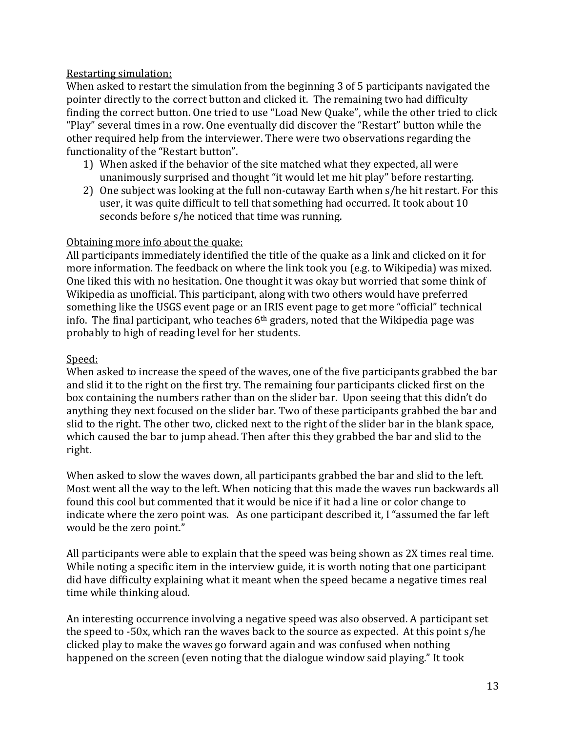### Restarting simulation:

When asked to restart the simulation from the beginning 3 of 5 participants navigated the pointer directly to the correct button and clicked it. The remaining two had difficulty finding the correct button. One tried to use "Load New Quake", while the other tried to click "Play" several times in a row. One eventually did discover the "Restart" button while the other required help from the interviewer. There were two observations regarding the functionality of the "Restart button".

- 1) When asked if the behavior of the site matched what they expected, all were unanimously surprised and thought "it would let me hit play" before restarting.
- 2) One subject was looking at the full non-cutaway Earth when s/he hit restart. For this user, it was quite difficult to tell that something had occurred. It took about 10 seconds before s/he noticed that time was running.

### Obtaining more info about the quake:

All participants immediately identified the title of the quake as a link and clicked on it for more information. The feedback on where the link took you (e.g. to Wikipedia) was mixed. One liked this with no hesitation. One thought it was okay but worried that some think of Wikipedia as unofficial. This participant, along with two others would have preferred something like the USGS event page or an IRIS event page to get more "official" technical info. The final participant, who teaches  $6<sup>th</sup>$  graders, noted that the Wikipedia page was probably to high of reading level for her students.

## Speed:

When asked to increase the speed of the waves, one of the five participants grabbed the bar and slid it to the right on the first try. The remaining four participants clicked first on the box containing the numbers rather than on the slider bar. Upon seeing that this didn't do anything they next focused on the slider bar. Two of these participants grabbed the bar and slid to the right. The other two, clicked next to the right of the slider bar in the blank space, which caused the bar to jump ahead. Then after this they grabbed the bar and slid to the right. 

When asked to slow the waves down, all participants grabbed the bar and slid to the left. Most went all the way to the left. When noticing that this made the waves run backwards all found this cool but commented that it would be nice if it had a line or color change to indicate where the zero point was. As one participant described it, I "assumed the far left would be the zero point."

All participants were able to explain that the speed was being shown as 2X times real time. While noting a specific item in the interview guide, it is worth noting that one participant did have difficulty explaining what it meant when the speed became a negative times real time while thinking aloud.

An interesting occurrence involving a negative speed was also observed. A participant set the speed to  $-50x$ , which ran the waves back to the source as expected. At this point  $s/he$ clicked play to make the waves go forward again and was confused when nothing happened on the screen (even noting that the dialogue window said playing." It took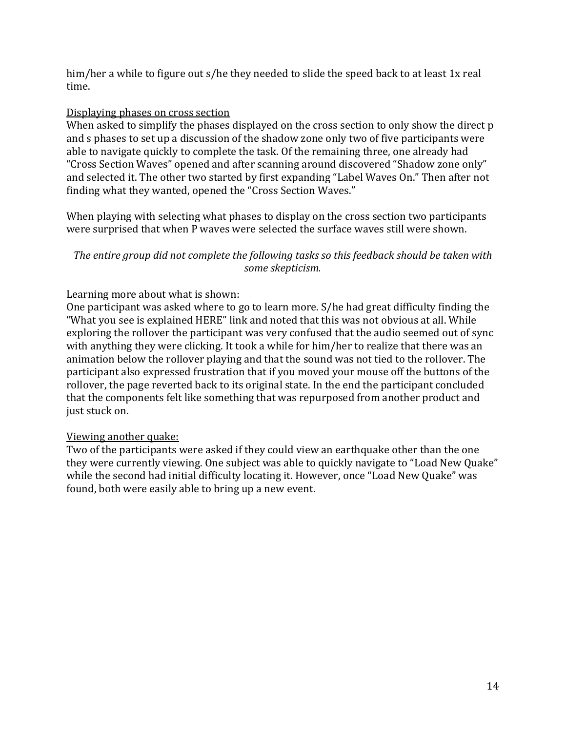him/her a while to figure out s/he they needed to slide the speed back to at least 1x real time. 

#### Displaying phases on cross section

When asked to simplify the phases displayed on the cross section to only show the direct p and s phases to set up a discussion of the shadow zone only two of five participants were able to navigate quickly to complete the task. Of the remaining three, one already had "Cross Section Waves" opened and after scanning around discovered "Shadow zone only" and selected it. The other two started by first expanding "Label Waves On." Then after not finding what they wanted, opened the "Cross Section Waves."

When playing with selecting what phases to display on the cross section two participants were surprised that when P waves were selected the surface waves still were shown.

### The entire group did not complete the following tasks so this feedback should be taken with *some skepticism.*

### Learning more about what is shown:

One participant was asked where to go to learn more. S/he had great difficulty finding the "What you see is explained HERE" link and noted that this was not obvious at all. While exploring the rollover the participant was very confused that the audio seemed out of sync with anything they were clicking. It took a while for him/her to realize that there was an animation below the rollover playing and that the sound was not tied to the rollover. The participant also expressed frustration that if you moved your mouse off the buttons of the rollover, the page reverted back to its original state. In the end the participant concluded that the components felt like something that was repurposed from another product and just stuck on.

#### Viewing another quake:

Two of the participants were asked if they could view an earthquake other than the one they were currently viewing. One subject was able to quickly navigate to "Load New Quake" while the second had initial difficulty locating it. However, once "Load New Quake" was found, both were easily able to bring up a new event.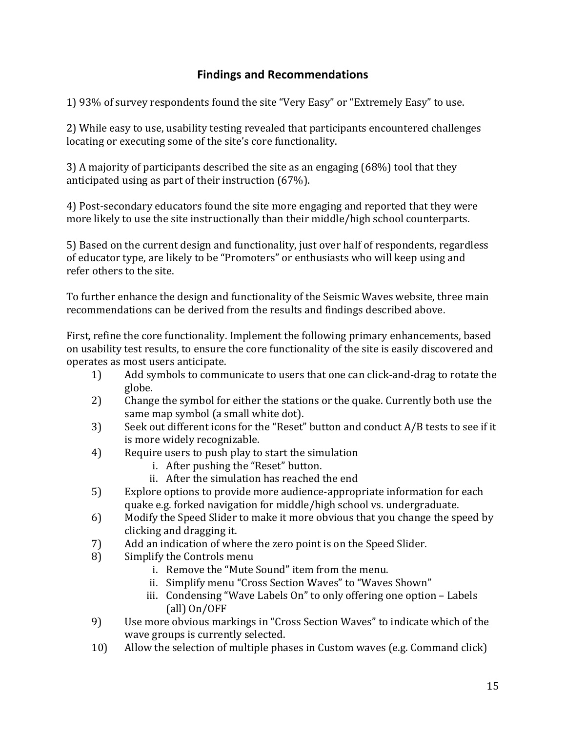## **Findings and Recommendations**

1) 93% of survey respondents found the site "Very Easy" or "Extremely Easy" to use.

2) While easy to use, usability testing revealed that participants encountered challenges locating or executing some of the site's core functionality.

3) A majority of participants described the site as an engaging (68%) tool that they anticipated using as part of their instruction  $(67%)$ .

4) Post-secondary educators found the site more engaging and reported that they were more likely to use the site instructionally than their middle/high school counterparts.

5) Based on the current design and functionality, just over half of respondents, regardless of educator type, are likely to be "Promoters" or enthusiasts who will keep using and refer others to the site.

To further enhance the design and functionality of the Seismic Waves website, three main recommendations can be derived from the results and findings described above.

First, refine the core functionality. Implement the following primary enhancements, based on usability test results, to ensure the core functionality of the site is easily discovered and operates as most users anticipate.

- 1) Add symbols to communicate to users that one can click-and-drag to rotate the globe.
- 2) Change the symbol for either the stations or the quake. Currently both use the same map symbol (a small white dot).
- 3) Seek out different icons for the "Reset" button and conduct  $A/B$  tests to see if it is more widely recognizable.
- 4) Require users to push play to start the simulation
	- i. After pushing the "Reset" button.
	- ii. After the simulation has reached the end
- 5) Explore options to provide more audience-appropriate information for each quake e.g. forked navigation for middle/high school vs. undergraduate.
- 6) Modify the Speed Slider to make it more obvious that you change the speed by clicking and dragging it.
- 7) Add an indication of where the zero point is on the Speed Slider.
- 8) Simplify the Controls menu
	- i. Remove the "Mute Sound" item from the menu.
	- ii. Simplify menu "Cross Section Waves" to "Waves Shown"
	- iii. Condensing "Wave Labels On" to only offering one option Labels  $\text{(all)}\text{On}/\text{OFF}$
- 9) Use more obvious markings in "Cross Section Waves" to indicate which of the wave groups is currently selected.
- 10) Allow the selection of multiple phases in Custom waves (e.g. Command click)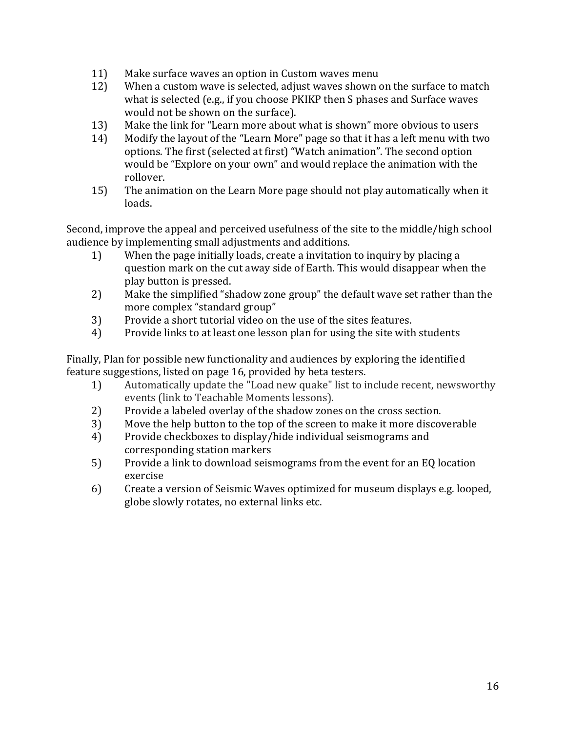- 11) Make surface waves an option in Custom waves menu
- 12) When a custom wave is selected, adjust waves shown on the surface to match what is selected (e.g., if you choose PKIKP then S phases and Surface waves would not be shown on the surface).
- 13) Make the link for "Learn more about what is shown" more obvious to users
- 14) Modify the layout of the "Learn More" page so that it has a left menu with two options. The first (selected at first) "Watch animation". The second option would be "Explore on your own" and would replace the animation with the rollover.
- 15) The animation on the Learn More page should not play automatically when it loads.

Second, improve the appeal and perceived usefulness of the site to the middle/high school audience by implementing small adjustments and additions.

- 1) When the page initially loads, create a invitation to inquiry by placing a question mark on the cut away side of Earth. This would disappear when the play button is pressed.
- 2) Make the simplified "shadow zone group" the default wave set rather than the more complex "standard group"
- 3) Provide a short tutorial video on the use of the sites features.
- 4) Provide links to at least one lesson plan for using the site with students

Finally, Plan for possible new functionality and audiences by exploring the identified feature suggestions, listed on page 16, provided by beta testers.

- 1) Automatically update the "Load new quake" list to include recent, newsworthy events (link to Teachable Moments lessons).
- 2) Provide a labeled overlay of the shadow zones on the cross section.
- 3) Move the help button to the top of the screen to make it more discoverable
- 4) Provide checkboxes to display/hide individual seismograms and corresponding station markers
- 5) Provide a link to download seismograms from the event for an EQ location exercise
- 6) Create a version of Seismic Waves optimized for museum displays e.g. looped, globe slowly rotates, no external links etc.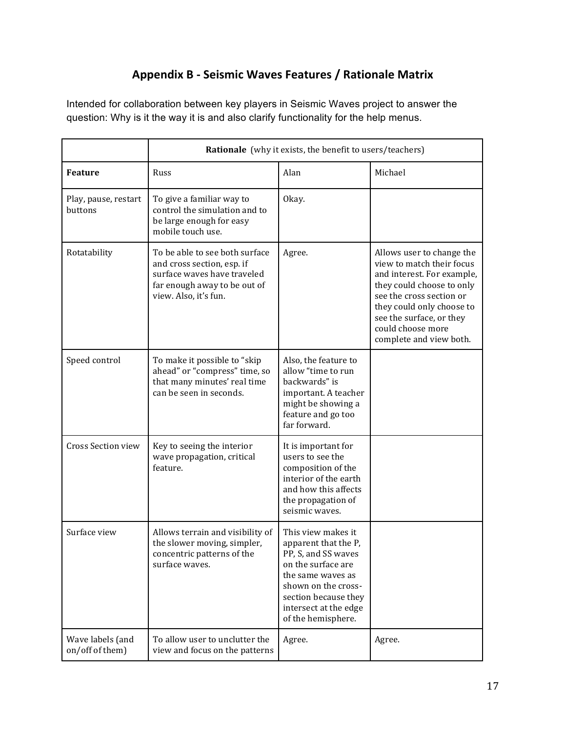# **Appendix B - Seismic Waves Features / Rationale Matrix**

Intended for collaboration between key players in Seismic Waves project to answer the question: Why is it the way it is and also clarify functionality for the help menus.

|                                     | <b>Rationale</b> (why it exists, the benefit to users/teachers)                                                                                      |                                                                                                                                                                                                            |                                                                                                                                                                                                                                                        |  |
|-------------------------------------|------------------------------------------------------------------------------------------------------------------------------------------------------|------------------------------------------------------------------------------------------------------------------------------------------------------------------------------------------------------------|--------------------------------------------------------------------------------------------------------------------------------------------------------------------------------------------------------------------------------------------------------|--|
| <b>Feature</b>                      | Russ                                                                                                                                                 | Alan                                                                                                                                                                                                       | Michael                                                                                                                                                                                                                                                |  |
| Play, pause, restart<br>buttons     | To give a familiar way to<br>control the simulation and to<br>be large enough for easy<br>mobile touch use.                                          | Okay.                                                                                                                                                                                                      |                                                                                                                                                                                                                                                        |  |
| Rotatability                        | To be able to see both surface<br>and cross section, esp. if<br>surface waves have traveled<br>far enough away to be out of<br>view. Also, it's fun. | Agree.                                                                                                                                                                                                     | Allows user to change the<br>view to match their focus<br>and interest. For example,<br>they could choose to only<br>see the cross section or<br>they could only choose to<br>see the surface, or they<br>could choose more<br>complete and view both. |  |
| Speed control                       | To make it possible to "skip<br>ahead" or "compress" time, so<br>that many minutes' real time<br>can be seen in seconds.                             | Also, the feature to<br>allow "time to run<br>backwards" is<br>important. A teacher<br>might be showing a<br>feature and go too<br>far forward.                                                            |                                                                                                                                                                                                                                                        |  |
| Cross Section view                  | Key to seeing the interior<br>wave propagation, critical<br>feature.                                                                                 | It is important for<br>users to see the<br>composition of the<br>interior of the earth<br>and how this affects<br>the propagation of<br>seismic waves.                                                     |                                                                                                                                                                                                                                                        |  |
| Surface view                        | Allows terrain and visibility of<br>the slower moving, simpler,<br>concentric patterns of the<br>surface waves.                                      | This view makes it<br>apparent that the P,<br>PP, S, and SS waves<br>on the surface are<br>the same waves as<br>shown on the cross-<br>section because they<br>intersect at the edge<br>of the hemisphere. |                                                                                                                                                                                                                                                        |  |
| Wave labels (and<br>on/off of them) | To allow user to unclutter the<br>view and focus on the patterns                                                                                     | Agree.                                                                                                                                                                                                     | Agree.                                                                                                                                                                                                                                                 |  |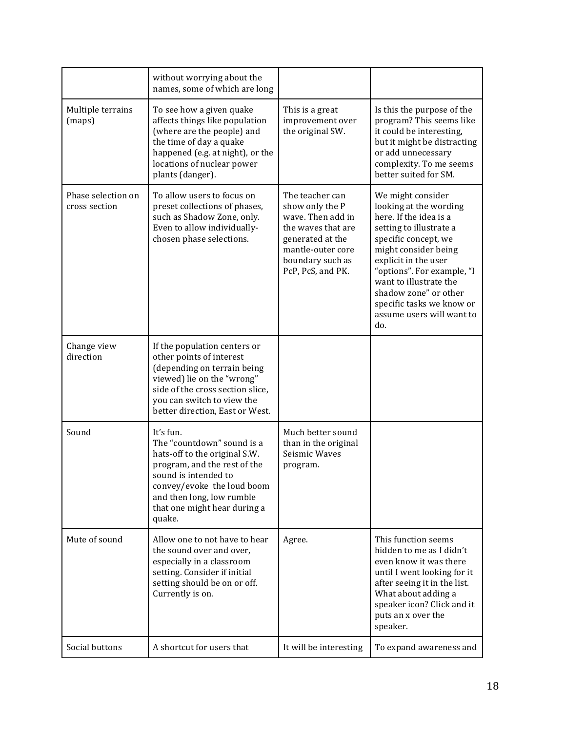|                                     | without worrying about the<br>names, some of which are long                                                                                                                                                                           |                                                                                                                                                                 |                                                                                                                                                                                                                                                                                                                            |
|-------------------------------------|---------------------------------------------------------------------------------------------------------------------------------------------------------------------------------------------------------------------------------------|-----------------------------------------------------------------------------------------------------------------------------------------------------------------|----------------------------------------------------------------------------------------------------------------------------------------------------------------------------------------------------------------------------------------------------------------------------------------------------------------------------|
| Multiple terrains<br>(maps)         | To see how a given quake<br>affects things like population<br>(where are the people) and<br>the time of day a quake<br>happened (e.g. at night), or the<br>locations of nuclear power<br>plants (danger).                             | This is a great<br>improvement over<br>the original SW.                                                                                                         | Is this the purpose of the<br>program? This seems like<br>it could be interesting,<br>but it might be distracting<br>or add unnecessary<br>complexity. To me seems<br>better suited for SM.                                                                                                                                |
| Phase selection on<br>cross section | To allow users to focus on<br>preset collections of phases,<br>such as Shadow Zone, only.<br>Even to allow individually-<br>chosen phase selections.                                                                                  | The teacher can<br>show only the P<br>wave. Then add in<br>the waves that are<br>generated at the<br>mantle-outer core<br>boundary such as<br>PcP, PcS, and PK. | We might consider<br>looking at the wording<br>here. If the idea is a<br>setting to illustrate a<br>specific concept, we<br>might consider being<br>explicit in the user<br>"options". For example, "I<br>want to illustrate the<br>shadow zone" or other<br>specific tasks we know or<br>assume users will want to<br>do. |
| Change view<br>direction            | If the population centers or<br>other points of interest<br>(depending on terrain being<br>viewed) lie on the "wrong"<br>side of the cross section slice,<br>you can switch to view the<br>better direction, East or West.            |                                                                                                                                                                 |                                                                                                                                                                                                                                                                                                                            |
| Sound                               | It's fun.<br>The "countdown" sound is a<br>hats-off to the original S.W.<br>program, and the rest of the<br>sound is intended to<br>convey/evoke the loud boom<br>and then long, low rumble<br>that one might hear during a<br>quake. | Much better sound<br>than in the original<br>Seismic Waves<br>program.                                                                                          |                                                                                                                                                                                                                                                                                                                            |
| Mute of sound                       | Allow one to not have to hear<br>the sound over and over,<br>especially in a classroom<br>setting. Consider if initial<br>setting should be on or off.<br>Currently is on.                                                            | Agree.                                                                                                                                                          | This function seems<br>hidden to me as I didn't<br>even know it was there<br>until I went looking for it<br>after seeing it in the list.<br>What about adding a<br>speaker icon? Click and it<br>puts an x over the<br>speaker.                                                                                            |
| Social buttons                      | A shortcut for users that                                                                                                                                                                                                             | It will be interesting                                                                                                                                          | To expand awareness and                                                                                                                                                                                                                                                                                                    |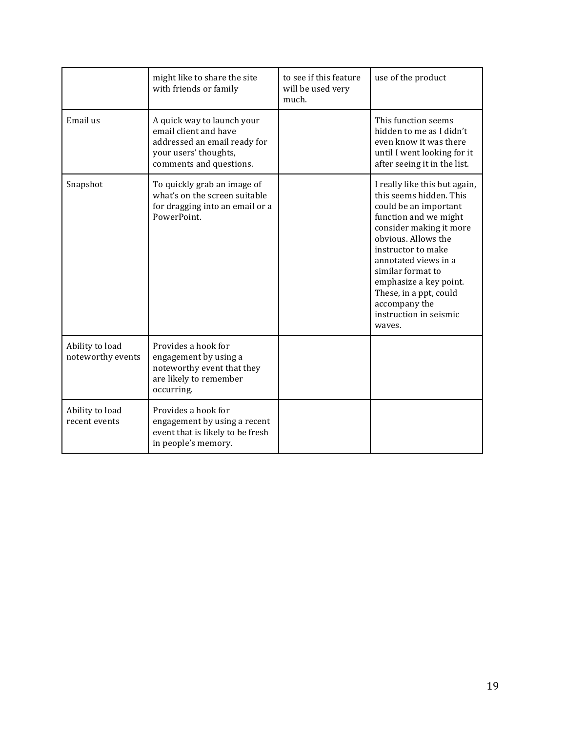|                                      | might like to share the site<br>with friends or family                                                                                  | to see if this feature<br>will be used very<br>much. | use of the product                                                                                                                                                                                                                                                                                                                       |
|--------------------------------------|-----------------------------------------------------------------------------------------------------------------------------------------|------------------------------------------------------|------------------------------------------------------------------------------------------------------------------------------------------------------------------------------------------------------------------------------------------------------------------------------------------------------------------------------------------|
| Email us                             | A quick way to launch your<br>email client and have<br>addressed an email ready for<br>your users' thoughts,<br>comments and questions. |                                                      | This function seems<br>hidden to me as I didn't<br>even know it was there<br>until I went looking for it<br>after seeing it in the list.                                                                                                                                                                                                 |
| Snapshot                             | To quickly grab an image of<br>what's on the screen suitable<br>for dragging into an email or a<br>PowerPoint.                          |                                                      | I really like this but again,<br>this seems hidden. This<br>could be an important<br>function and we might<br>consider making it more<br>obvious. Allows the<br>instructor to make<br>annotated views in a<br>similar format to<br>emphasize a key point.<br>These, in a ppt, could<br>accompany the<br>instruction in seismic<br>wayes. |
| Ability to load<br>noteworthy events | Provides a hook for<br>engagement by using a<br>noteworthy event that they<br>are likely to remember<br>occurring.                      |                                                      |                                                                                                                                                                                                                                                                                                                                          |
| Ability to load<br>recent events     | Provides a hook for<br>engagement by using a recent<br>event that is likely to be fresh<br>in people's memory.                          |                                                      |                                                                                                                                                                                                                                                                                                                                          |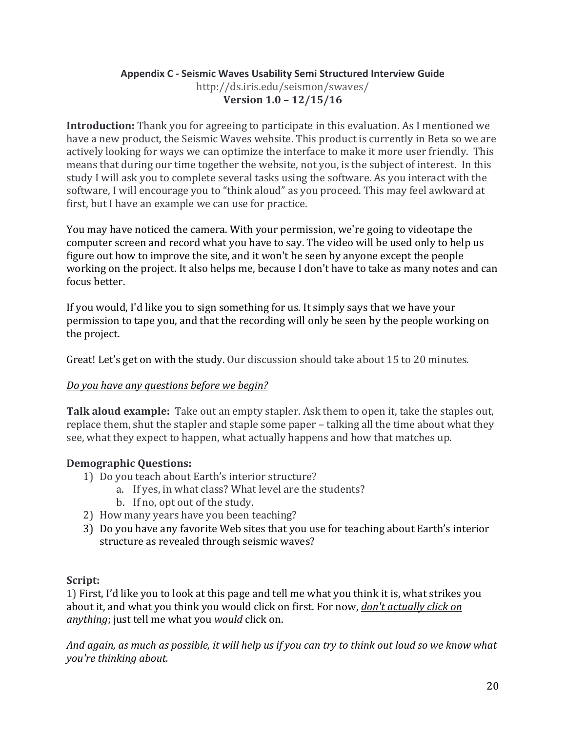### **Appendix C - Seismic Waves Usability Semi Structured Interview Guide** http://ds.iris.edu/seismon/swaves/ **Version 1.0 - 12/15/16**

**Introduction:** Thank you for agreeing to participate in this evaluation. As I mentioned we have a new product, the Seismic Waves website. This product is currently in Beta so we are actively looking for ways we can optimize the interface to make it more user friendly. This means that during our time together the website, not you, is the subject of interest. In this study I will ask you to complete several tasks using the software. As you interact with the software, I will encourage you to "think aloud" as you proceed. This may feel awkward at first, but I have an example we can use for practice.

You may have noticed the camera. With your permission, we're going to videotape the computer screen and record what you have to say. The video will be used only to help us figure out how to improve the site, and it won't be seen by anyone except the people working on the project. It also helps me, because I don't have to take as many notes and can focus better.

If you would, I'd like you to sign something for us. It simply says that we have your permission to tape you, and that the recording will only be seen by the people working on the project.

Great! Let's get on with the study. Our discussion should take about 15 to 20 minutes.

## *<u>Do you have any questions before we begin?</u>*

**Talk aloud example:** Take out an empty stapler. Ask them to open it, take the staples out, replace them, shut the stapler and staple some paper - talking all the time about what they see, what they expect to happen, what actually happens and how that matches up.

## **Demographic Questions:**

- 1) Do you teach about Earth's interior structure?
	- a. If yes, in what class? What level are the students?
	- b. If no, opt out of the study.
- 2) How many years have you been teaching?
- 3) Do you have any favorite Web sites that you use for teaching about Earth's interior structure as revealed through seismic waves?

#### **Script:**

1) First, I'd like you to look at this page and tell me what you think it is, what strikes you about it, and what you think you would click on first. For now, *don't actually click on* anything; just tell me what you *would* click on.

And again, as much as possible, it will help us if you can try to think out loud so we know what *you're thinking about.*